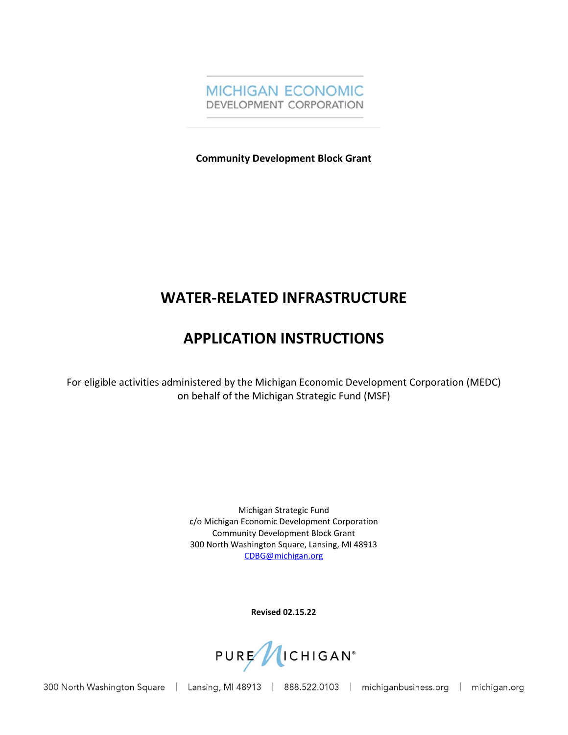

**Community Development Block Grant**

# **WATER-RELATED INFRASTRUCTURE**

# **APPLICATION INSTRUCTIONS**

For eligible activities administered by the Michigan Economic Development Corporation (MEDC) on behalf of the Michigan Strategic Fund (MSF)

> Michigan Strategic Fund c/o Michigan Economic Development Corporation Community Development Block Grant 300 North Washington Square, Lansing, MI 48913 [CDBG@michigan.org](mailto:CDBG@michigan.org)

> > **Revised 02.15.22**



300 North Washington Square

| Lansing, MI 48913 | 888.522.0103 | michiganbusiness.org | michigan.org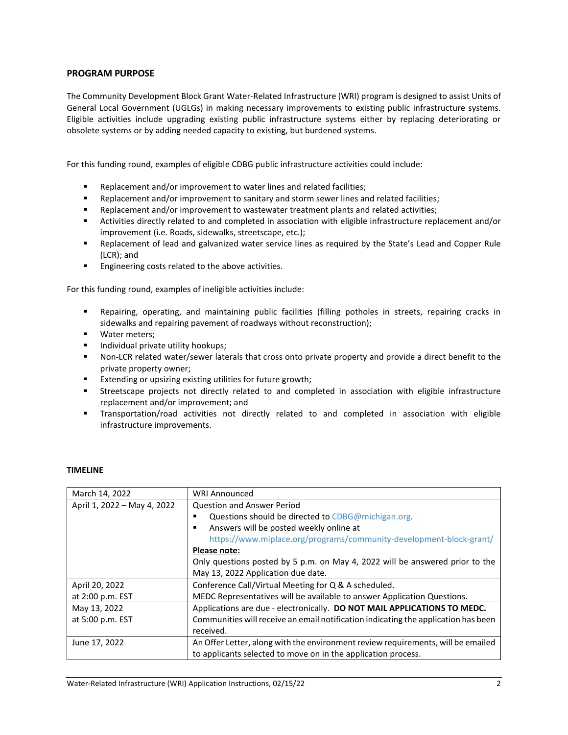## **PROGRAM PURPOSE**

The Community Development Block Grant Water-Related Infrastructure (WRI) program is designed to assist Units of General Local Government (UGLGs) in making necessary improvements to existing public infrastructure systems. Eligible activities include upgrading existing public infrastructure systems either by replacing deteriorating or obsolete systems or by adding needed capacity to existing, but burdened systems.

For this funding round, examples of eligible CDBG public infrastructure activities could include:

- **Replacement and/or improvement to water lines and related facilities;**
- Replacement and/or improvement to sanitary and storm sewer lines and related facilities;
- Replacement and/or improvement to wastewater treatment plants and related activities;
- Activities directly related to and completed in association with eligible infrastructure replacement and/or improvement (i.e. Roads, sidewalks, streetscape, etc.);
- Replacement of lead and galvanized water service lines as required by the State's Lead and Copper Rule (LCR); and
- **Engineering costs related to the above activities.**

For this funding round, examples of ineligible activities include:

- Repairing, operating, and maintaining public facilities (filling potholes in streets, repairing cracks in sidewalks and repairing pavement of roadways without reconstruction);
- **Water meters;**
- **Individual private utility hookups;**
- Non-LCR related water/sewer laterals that cross onto private property and provide a direct benefit to the private property owner;
- **Extending or upsizing existing utilities for future growth;**
- Streetscape projects not directly related to and completed in association with eligible infrastructure replacement and/or improvement; and
- Transportation/road activities not directly related to and completed in association with eligible infrastructure improvements.

| March 14, 2022              | <b>WRI Announced</b>                                                               |  |  |  |  |  |  |
|-----------------------------|------------------------------------------------------------------------------------|--|--|--|--|--|--|
| April 1, 2022 - May 4, 2022 | <b>Question and Answer Period</b>                                                  |  |  |  |  |  |  |
|                             | Questions should be directed to CDBG@michigan.org.<br>٠                            |  |  |  |  |  |  |
|                             | Answers will be posted weekly online at<br>٠                                       |  |  |  |  |  |  |
|                             | https://www.miplace.org/programs/community-development-block-grant/                |  |  |  |  |  |  |
|                             | Please note:                                                                       |  |  |  |  |  |  |
|                             | Only questions posted by 5 p.m. on May 4, 2022 will be answered prior to the       |  |  |  |  |  |  |
|                             | May 13, 2022 Application due date.                                                 |  |  |  |  |  |  |
| April 20, 2022              | Conference Call/Virtual Meeting for Q & A scheduled.                               |  |  |  |  |  |  |
| at 2:00 p.m. EST            | MEDC Representatives will be available to answer Application Questions.            |  |  |  |  |  |  |
| May 13, 2022                | Applications are due - electronically. DO NOT MAIL APPLICATIONS TO MEDC.           |  |  |  |  |  |  |
| at 5:00 p.m. EST            | Communities will receive an email notification indicating the application has been |  |  |  |  |  |  |
|                             | received.                                                                          |  |  |  |  |  |  |
| June 17, 2022               | An Offer Letter, along with the environment review requirements, will be emailed   |  |  |  |  |  |  |
|                             | to applicants selected to move on in the application process.                      |  |  |  |  |  |  |

### **TIMELINE**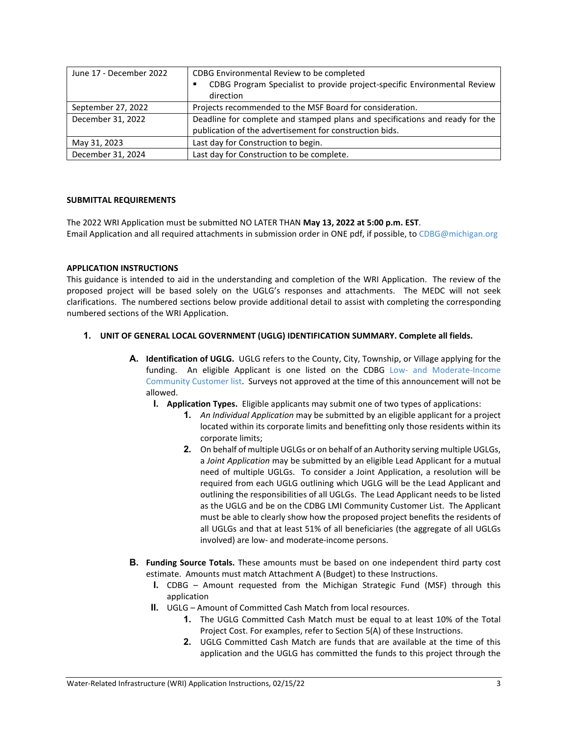| June 17 - December 2022 | CDBG Environmental Review to be completed                                    |  |  |  |  |
|-------------------------|------------------------------------------------------------------------------|--|--|--|--|
|                         | CDBG Program Specialist to provide project-specific Environmental Review     |  |  |  |  |
|                         | direction                                                                    |  |  |  |  |
| September 27, 2022      | Projects recommended to the MSF Board for consideration.                     |  |  |  |  |
| December 31, 2022       | Deadline for complete and stamped plans and specifications and ready for the |  |  |  |  |
|                         | publication of the advertisement for construction bids.                      |  |  |  |  |
| May 31, 2023            | Last day for Construction to begin.                                          |  |  |  |  |
| December 31, 2024       | Last day for Construction to be complete.                                    |  |  |  |  |

#### **SUBMITTAL REQUIREMENTS**

The 2022 WRI Application must be submitted NO LATER THAN **May 13, 2022 at 5:00 p.m. EST**. Email Application and all required attachments in submission order in ONE pdf, if possible, t[o CDBG@michigan.org](mailto:CDBG@michigan.org)

#### **APPLICATION INSTRUCTIONS**

This guidance is intended to aid in the understanding and completion of the WRI Application. The review of the proposed project will be based solely on the UGLG's responses and attachments. The MEDC will not seek clarifications. The numbered sections below provide additional detail to assist with completing the corresponding numbered sections of the WRI Application.

### **1. UNIT OF GENERAL LOCAL GOVERNMENT (UGLG) IDENTIFICATION SUMMARY. Complete all fields.**

- **A. Identification of UGLG.** UGLG refers to the County, City, Township, or Village applying for the funding. An eligible Applicant is one listed on the CDBG Low- [and Moderate-Income](https://www.miplace.org/495b00/globalassets/documents/cdbg/resources/lmi-community-customers-and-project-areas.xlsx) [Community Customer list.](https://www.miplace.org/495b00/globalassets/documents/cdbg/resources/lmi-community-customers-and-project-areas.xlsx) Surveys not approved at the time of this announcement will not be allowed.
	- **I. Application Types.** Eligible applicants may submit one of two types of applications:
		- **1.** *An Individual Application* may be submitted by an eligible applicant for a project located within its corporate limits and benefitting only those residents within its corporate limits;
		- **2.** On behalf of multiple UGLGs or on behalf of an Authority serving multiple UGLGs, a *Joint Application* may be submitted by an eligible Lead Applicant for a mutual need of multiple UGLGs. To consider a Joint Application, a resolution will be required from each UGLG outlining which UGLG will be the Lead Applicant and outlining the responsibilities of all UGLGs. The Lead Applicant needs to be listed as the UGLG and be on the CDBG LMI Community Customer List. The Applicant must be able to clearly show how the proposed project benefits the residents of all UGLGs and that at least 51% of all beneficiaries (the aggregate of all UGLGs involved) are low- and moderate-income persons.
- **B. Funding Source Totals.** These amounts must be based on one independent third party cost estimate. Amounts must match Attachment A (Budget) to these Instructions.
	- **I.** CDBG Amount requested from the Michigan Strategic Fund (MSF) through this application
	- **II.** UGLG Amount of Committed Cash Match from local resources.
		- **1.** The UGLG Committed Cash Match must be equal to at least 10% of the Total Project Cost. For examples, refer to Section 5(A) of these Instructions.
		- **2.** UGLG Committed Cash Match are funds that are available at the time of this application and the UGLG has committed the funds to this project through the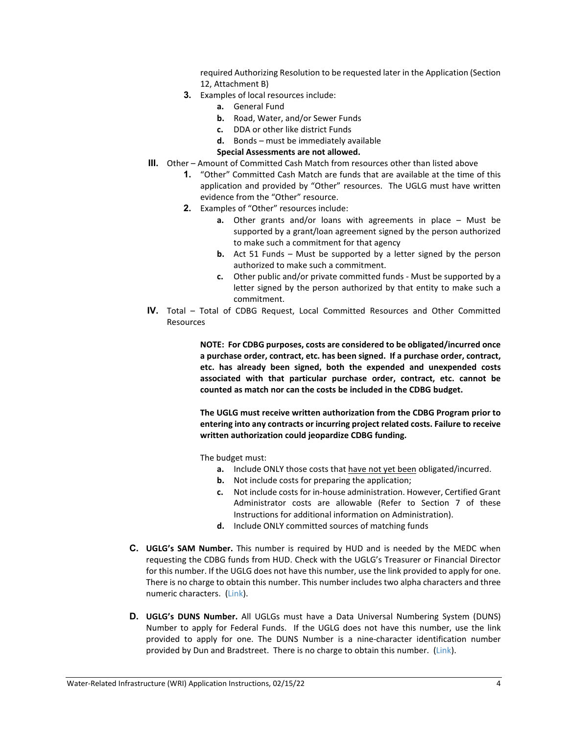required Authorizing Resolution to be requested later in the Application (Section 12, Attachment B)

- **3.** Examples of local resources include:
	- **a.** General Fund
	- **b.** Road, Water, and/or Sewer Funds
	- **c.** DDA or other like district Funds
	- **d.** Bonds must be immediately available

#### **Special Assessments are not allowed.**

- **III.** Other Amount of Committed Cash Match from resources other than listed above
	- **1.** "Other" Committed Cash Match are funds that are available at the time of this application and provided by "Other" resources. The UGLG must have written evidence from the "Other" resource.
	- **2.** Examples of "Other" resources include:
		- **a.** Other grants and/or loans with agreements in place Must be supported by a grant/loan agreement signed by the person authorized to make such a commitment for that agency
		- **b.** Act 51 Funds Must be supported by a letter signed by the person authorized to make such a commitment.
		- **c.** Other public and/or private committed funds Must be supported by a letter signed by the person authorized by that entity to make such a commitment.
- **IV.** Total Total of CDBG Request, Local Committed Resources and Other Committed Resources

**NOTE: For CDBG purposes, costs are considered to be obligated/incurred once a purchase order, contract, etc. has been signed. If a purchase order, contract, etc. has already been signed, both the expended and unexpended costs associated with that particular purchase order, contract, etc. cannot be counted as match nor can the costs be included in the CDBG budget.**

**The UGLG must receive written authorization from the CDBG Program prior to entering into any contracts or incurring project related costs. Failure to receive written authorization could jeopardize CDBG funding.**

The budget must:

- **a.** Include ONLY those costs that have not yet been obligated/incurred.
- **b.** Not include costs for preparing the application;
- **c.** Not include costs for in-house administration. However, Certified Grant Administrator costs are allowable (Refer to Section 7 of these Instructions for additional information on Administration).
- **d.** Include ONLY committed sources of matching funds
- **C. UGLG's SAM Number.** This number is required by HUD and is needed by the MEDC when requesting the CDBG funds from HUD. Check with the UGLG's Treasurer or Financial Director for this number. If the UGLG does not have this number, use the link provided to apply for one. There is no charge to obtain this number. This number includes two alpha characters and three numeric characters. [\(Link\)](https://www.sam.gov/SAM/).
- **D. UGLG's DUNS Number.** All UGLGs must have a Data Universal Numbering System (DUNS) Number to apply for Federal Funds. If the UGLG does not have this number, use the link provided to apply for one. The DUNS Number is a nine-character identification number provided by Dun and Bradstreet. There is no charge to obtain this number. [\(Link\)](https://www.dnb.com/duns-number.html).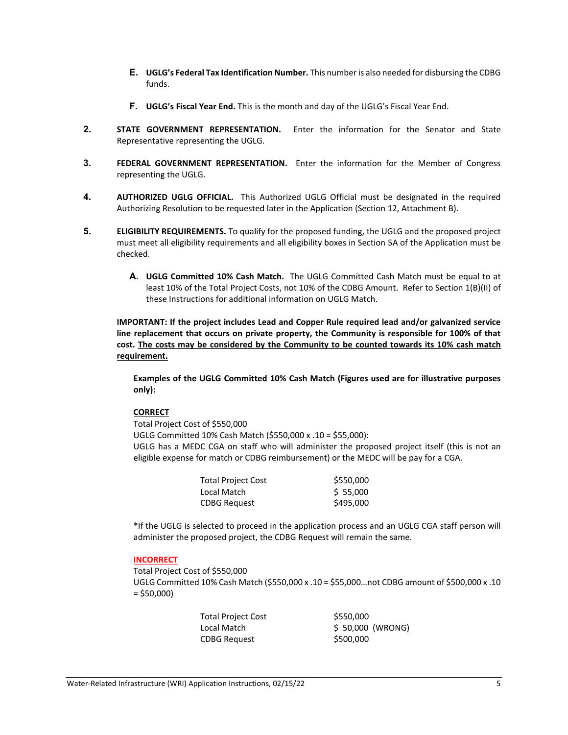- **E. UGLG's Federal Tax Identification Number.** This number is also needed for disbursing the CDBG funds.
- **F. UGLG's Fiscal Year End.** This is the month and day of the UGLG's Fiscal Year End.
- **2. STATE GOVERNMENT REPRESENTATION.** Enter the information for the Senator and State Representative representing the UGLG.
- **3. FEDERAL GOVERNMENT REPRESENTATION.** Enter the information for the Member of Congress representing the UGLG.
- **4. AUTHORIZED UGLG OFFICIAL.** This Authorized UGLG Official must be designated in the required Authorizing Resolution to be requested later in the Application (Section 12, Attachment B).
- **5. ELIGIBILITY REQUIREMENTS.** To qualify for the proposed funding, the UGLG and the proposed project must meet all eligibility requirements and all eligibility boxes in Section 5A of the Application must be checked.
	- **A. UGLG Committed 10% Cash Match.** The UGLG Committed Cash Match must be equal to at least 10% of the Total Project Costs, not 10% of the CDBG Amount. Refer to Section 1(B)(II) of these Instructions for additional information on UGLG Match.

**IMPORTANT: If the project includes Lead and Copper Rule required lead and/or galvanized service line replacement that occurs on private property, the Community is responsible for 100% of that cost. The costs may be considered by the Community to be counted towards its 10% cash match requirement.**

**Examples of the UGLG Committed 10% Cash Match (Figures used are for illustrative purposes only):**

### **CORRECT**

Total Project Cost of \$550,000

UGLG Committed 10% Cash Match (\$550,000 x .10 = \$55,000): UGLG has a MEDC CGA on staff who will administer the proposed project itself (this is not an eligible expense for match or CDBG reimbursement) or the MEDC will be pay for a CGA.

| <b>Total Project Cost</b> | \$550,000 |
|---------------------------|-----------|
| Local Match               | \$5,000   |
| <b>CDBG Request</b>       | \$495,000 |

\*If the UGLG is selected to proceed in the application process and an UGLG CGA staff person will administer the proposed project, the CDBG Request will remain the same.

### **INCORRECT**

Total Project Cost of \$550,000 UGLG Committed 10% Cash Match (\$550,000 x .10 = \$55,000…not CDBG amount of \$500,000 x .10  $= $50,000$ 

| <b>Total Project Cost</b> | \$550,000        |
|---------------------------|------------------|
| Local Match               | \$50,000 (WRONG) |
| <b>CDBG Request</b>       | \$500,000        |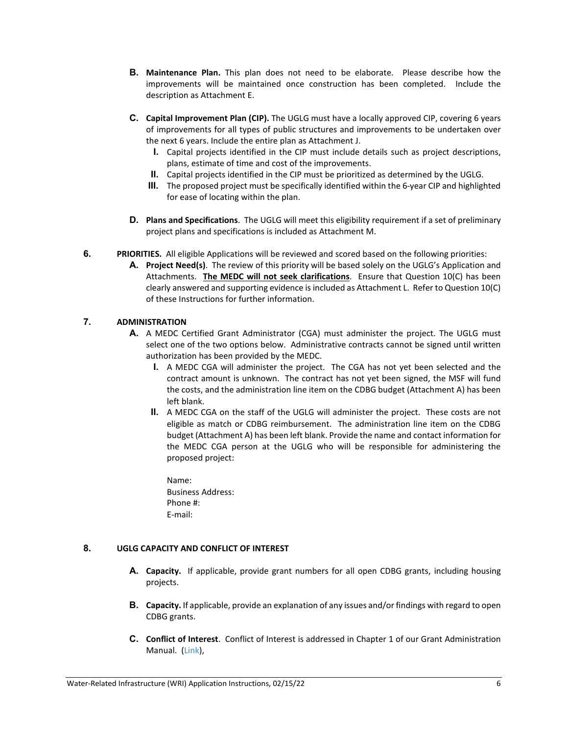- **B. Maintenance Plan.** This plan does not need to be elaborate. Please describe how the improvements will be maintained once construction has been completed. Include the description as Attachment E.
- **C. Capital Improvement Plan (CIP).** The UGLG must have a locally approved CIP, covering 6 years of improvements for all types of public structures and improvements to be undertaken over the next 6 years. Include the entire plan as Attachment J.
	- **I.** Capital projects identified in the CIP must include details such as project descriptions, plans, estimate of time and cost of the improvements.
	- **II.** Capital projects identified in the CIP must be prioritized as determined by the UGLG.
	- **III.** The proposed project must be specifically identified within the 6-year CIP and highlighted for ease of locating within the plan.
- **D. Plans and Specifications**. The UGLG will meet this eligibility requirement if a set of preliminary project plans and specifications is included as Attachment M.
- **6. PRIORITIES.** All eligible Applications will be reviewed and scored based on the following priorities:
	- **A. Project Need(s)**. The review of this priority will be based solely on the UGLG's Application and Attachments. **The MEDC will not seek clarifications**. Ensure that Question 10(C) has been clearly answered and supporting evidence is included as Attachment L. Refer to Question 10(C) of these Instructions for further information.

## **7. ADMINISTRATION**

- **A.** A MEDC Certified Grant Administrator (CGA) must administer the project. The UGLG must select one of the two options below. Administrative contracts cannot be signed until written authorization has been provided by the MEDC.
	- **I.** A MEDC CGA will administer the project. The CGA has not yet been selected and the contract amount is unknown. The contract has not yet been signed, the MSF will fund the costs, and the administration line item on the CDBG budget (Attachment A) has been left blank.
	- **II.** A MEDC CGA on the staff of the UGLG will administer the project. These costs are not eligible as match or CDBG reimbursement. The administration line item on the CDBG budget (Attachment A) has been left blank. Provide the name and contact information for the MEDC CGA person at the UGLG who will be responsible for administering the proposed project:
		- Name: Business Address: Phone #: E-mail:

### **8. UGLG CAPACITY AND CONFLICT OF INTEREST**

- **A. Capacity.** If applicable, provide grant numbers for all open CDBG grants, including housing projects.
- **B. Capacity.** If applicable, provide an explanation of any issues and/or findings with regard to open CDBG grants.
- **C. Conflict of Interest**. Conflict of Interest is addressed in Chapter 1 of our Grant Administration Manual. [\(Link\)](https://www.miplace.org/49e83e/globalassets/documents/cdbg/gam/chapter-01/reading/program-overview.pdf),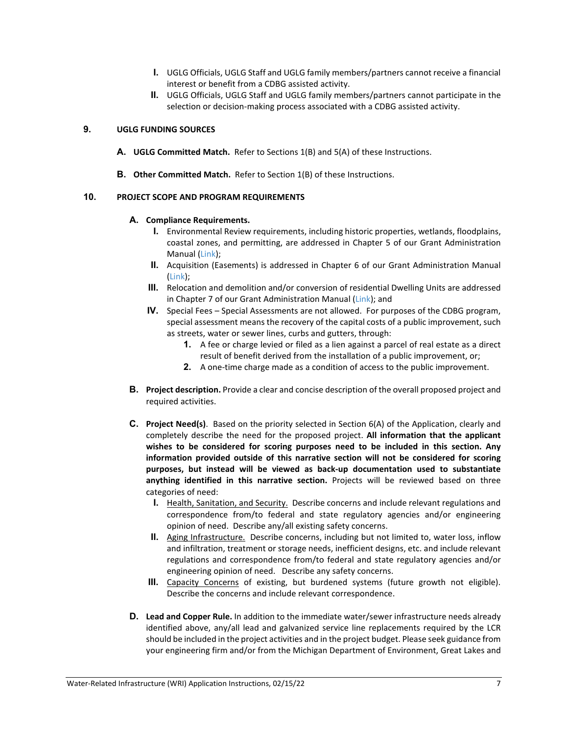- **I.** UGLG Officials, UGLG Staff and UGLG family members/partners cannot receive a financial interest or benefit from a CDBG assisted activity.
- **II.** UGLG Officials, UGLG Staff and UGLG family members/partners cannot participate in the selection or decision-making process associated with a CDBG assisted activity.

## **9. UGLG FUNDING SOURCES**

- **A. UGLG Committed Match.** Refer to Sections 1(B) and 5(A) of these Instructions.
- **B. Other Committed Match.** Refer to Section 1(B) of these Instructions.

### **10. PROJECT SCOPE AND PROGRAM REQUIREMENTS**

### **A. Compliance Requirements.**

- **I.** Environmental Review requirements, including historic properties, wetlands, floodplains, coastal zones, and permitting, are addressed in Chapter 5 of our Grant Administration Manual [\(Link\)](https://www.miplace.org/4a0b42/globalassets/documents/cdbg/gam/chapter-05/reading/05-environmental-review.pdf);
- **II.** Acquisition (Easements) is addressed in Chapter 6 of our Grant Administration Manual [\(Link\)](https://www.miplace.org/49b921/globalassets/documents/cdbg/gam/chapter-06/reading/06-acquisition);
- **III.** Relocation and demolition and/or conversion of residential Dwelling Units are addressed in Chapter 7 of our Grant Administration Manual [\(Link\)](https://www.miplace.org/4933a5/globalassets/documents/cdbg/gam/chapter-07/reading/07-relocation); and
- **IV.** Special Fees Special Assessments are not allowed. For purposes of the CDBG program, special assessment means the recovery of the capital costs of a public improvement, such as streets, water or sewer lines, curbs and gutters, through:
	- **1.** A fee or charge levied or filed as a lien against a parcel of real estate as a direct result of benefit derived from the installation of a public improvement, or;
	- **2.** A one-time charge made as a condition of access to the public improvement.
- **B. Project description.** Provide a clear and concise description of the overall proposed project and required activities.
- **C. Project Need(s)**. Based on the priority selected in Section 6(A) of the Application, clearly and completely describe the need for the proposed project. **All information that the applicant wishes to be considered for scoring purposes need to be included in this section. Any information provided outside of this narrative section will not be considered for scoring purposes, but instead will be viewed as back-up documentation used to substantiate anything identified in this narrative section.** Projects will be reviewed based on three categories of need:
	- **I.** Health, Sanitation, and Security. Describe concerns and include relevant regulations and correspondence from/to federal and state regulatory agencies and/or engineering opinion of need. Describe any/all existing safety concerns.
	- **II.** Aging Infrastructure. Describe concerns, including but not limited to, water loss, inflow and infiltration, treatment or storage needs, inefficient designs, etc. and include relevant regulations and correspondence from/to federal and state regulatory agencies and/or engineering opinion of need. Describe any safety concerns.
	- **III.** Capacity Concerns of existing, but burdened systems (future growth not eligible). Describe the concerns and include relevant correspondence.
- **D. Lead and Copper Rule.** In addition to the immediate water/sewer infrastructure needs already identified above, any/all lead and galvanized service line replacements required by the LCR should be included in the project activities and in the project budget. Please seek guidance from your engineering firm and/or from the Michigan Department of Environment, Great Lakes and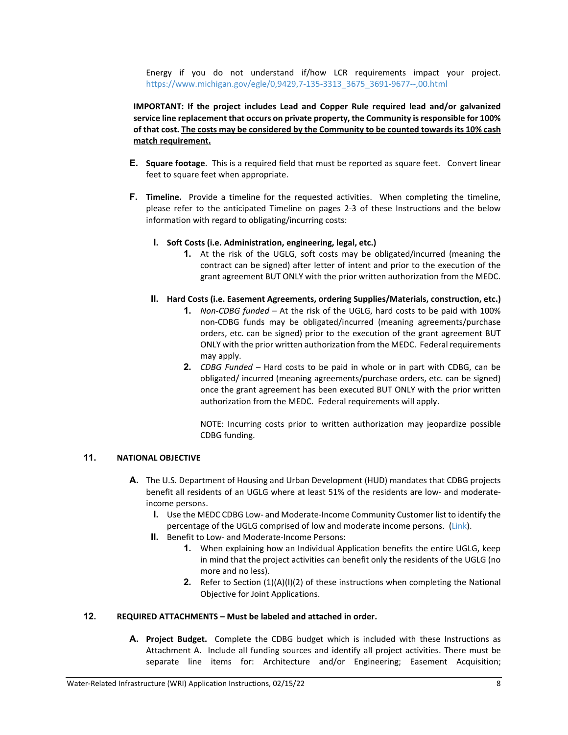Energy if you do not understand if/how LCR requirements impact your project. [https://www.michigan.gov/egle/0,9429,7-135-3313\\_3675\\_3691-9677--,00.html](https://www.michigan.gov/egle/0,9429,7-135-3313_3675_3691-9677--,00.html) 

**IMPORTANT: If the project includes Lead and Copper Rule required lead and/or galvanized service line replacement that occurs on private property, the Community is responsible for 100% of that cost. The costs may be considered by the Community to be counted towards its 10% cash match requirement.**

- **E. Square footage**. This is a required field that must be reported as square feet. Convert linear feet to square feet when appropriate.
- **F. Timeline.** Provide a timeline for the requested activities. When completing the timeline, please refer to the anticipated Timeline on pages 2-3 of these Instructions and the below information with regard to obligating/incurring costs:
	- **I. Soft Costs (i.e. Administration, engineering, legal, etc.)**
		- **1.** At the risk of the UGLG, soft costs may be obligated/incurred (meaning the contract can be signed) after letter of intent and prior to the execution of the grant agreement BUT ONLY with the prior written authorization from the MEDC.
	- **II. Hard Costs (i.e. Easement Agreements, ordering Supplies/Materials, construction, etc.)**
		- **1.** *Non-CDBG funded –* At the risk of the UGLG, hard costs to be paid with 100% non-CDBG funds may be obligated/incurred (meaning agreements/purchase orders, etc. can be signed) prior to the execution of the grant agreement BUT ONLY with the prior written authorization from the MEDC. Federal requirements may apply.
		- **2.** *CDBG Funded –* Hard costs to be paid in whole or in part with CDBG, can be obligated/ incurred (meaning agreements/purchase orders, etc. can be signed) once the grant agreement has been executed BUT ONLY with the prior written authorization from the MEDC. Federal requirements will apply.

NOTE: Incurring costs prior to written authorization may jeopardize possible CDBG funding.

### **11. NATIONAL OBJECTIVE**

- **A.** The U.S. Department of Housing and Urban Development (HUD) mandates that CDBG projects benefit all residents of an UGLG where at least 51% of the residents are low- and moderateincome persons.
	- **I.** Use the MEDC CDBG Low- and Moderate-Income Community Customer list to identify the percentage of the UGLG comprised of low and moderate income persons. [\(Link\)](https://www.miplace.org/495b00/globalassets/documents/cdbg/resources/lmi-community-customers-and-project-areas.xlsx).
	- **II.** Benefit to Low- and Moderate-Income Persons:
		- **1.** When explaining how an Individual Application benefits the entire UGLG, keep in mind that the project activities can benefit only the residents of the UGLG (no more and no less).
		- **2.** Refer to Section (1)(A)(I)(2) of these instructions when completing the National Objective for Joint Applications.

## **12. REQUIRED ATTACHMENTS – Must be labeled and attached in order.**

**A. Project Budget.** Complete the CDBG budget which is included with these Instructions as Attachment A. Include all funding sources and identify all project activities. There must be separate line items for: Architecture and/or Engineering; Easement Acquisition;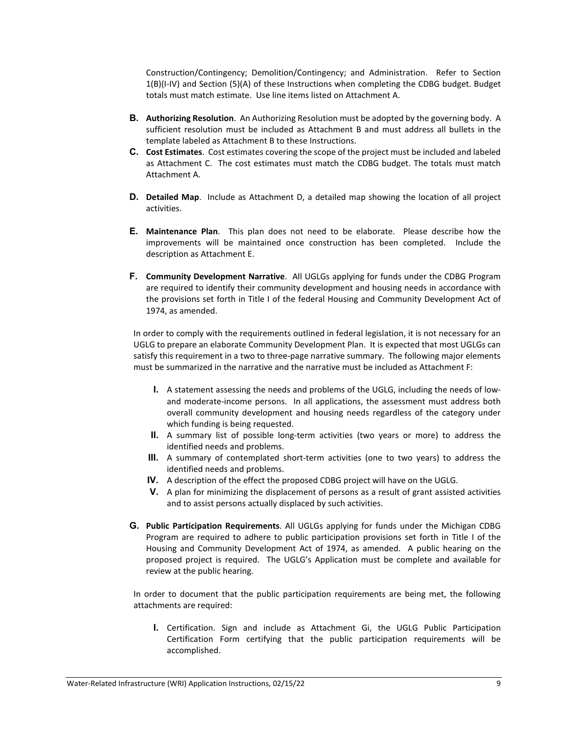Construction/Contingency; Demolition/Contingency; and Administration. Refer to Section 1(B)(I-IV) and Section (5)(A) of these Instructions when completing the CDBG budget. Budget totals must match estimate. Use line items listed on Attachment A.

- **B. Authorizing Resolution**. An Authorizing Resolution must be adopted by the governing body. A sufficient resolution must be included as Attachment B and must address all bullets in the template labeled as Attachment B to these Instructions.
- **C. Cost Estimates**. Cost estimates covering the scope of the project must be included and labeled as Attachment C. The cost estimates must match the CDBG budget. The totals must match Attachment A.
- **D. Detailed Map**. Include as Attachment D, a detailed map showing the location of all project activities.
- **E. Maintenance Plan**. This plan does not need to be elaborate. Please describe how the improvements will be maintained once construction has been completed. Include the description as Attachment E.
- **F. Community Development Narrative**. All UGLGs applying for funds under the CDBG Program are required to identify their community development and housing needs in accordance with the provisions set forth in Title I of the federal Housing and Community Development Act of 1974, as amended.

In order to comply with the requirements outlined in federal legislation, it is not necessary for an UGLG to prepare an elaborate Community Development Plan. It is expected that most UGLGs can satisfy this requirement in a two to three-page narrative summary. The following major elements must be summarized in the narrative and the narrative must be included as Attachment F:

- **I.** A statement assessing the needs and problems of the UGLG, including the needs of lowand moderate-income persons. In all applications, the assessment must address both overall community development and housing needs regardless of the category under which funding is being requested.
- **II.** A summary list of possible long-term activities (two years or more) to address the identified needs and problems.
- **III.** A summary of contemplated short-term activities (one to two years) to address the identified needs and problems.
- **IV.** A description of the effect the proposed CDBG project will have on the UGLG.
- **V.** A plan for minimizing the displacement of persons as a result of grant assisted activities and to assist persons actually displaced by such activities.
- **G. Public Participation Requirements**. All UGLGs applying for funds under the Michigan CDBG Program are required to adhere to public participation provisions set forth in Title I of the Housing and Community Development Act of 1974, as amended. A public hearing on the proposed project is required. The UGLG's Application must be complete and available for review at the public hearing.

In order to document that the public participation requirements are being met, the following attachments are required:

**I.** Certification. Sign and include as Attachment Gi, the UGLG Public Participation Certification Form certifying that the public participation requirements will be accomplished.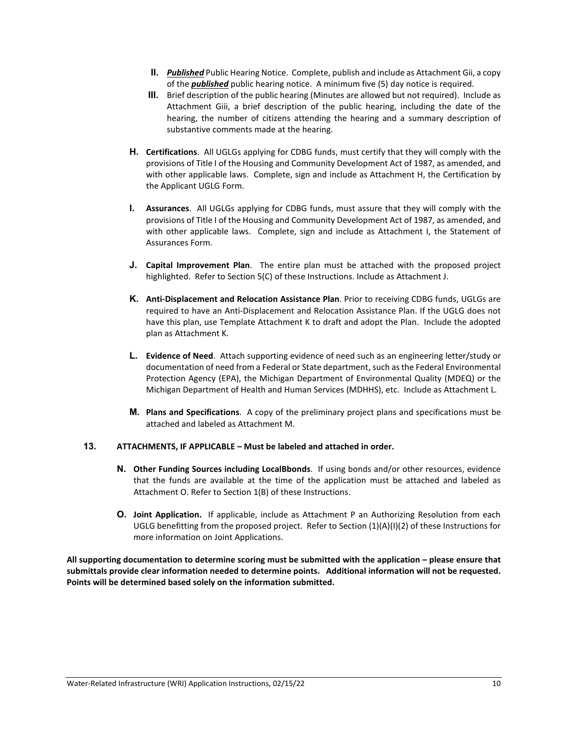- **II.** *Published* Public Hearing Notice. Complete, publish and include as Attachment Gii, a copy of the *published* public hearing notice. A minimum five (5) day notice is required.
- **III.** Brief description of the public hearing (Minutes are allowed but not required). Include as Attachment Giii, a brief description of the public hearing, including the date of the hearing, the number of citizens attending the hearing and a summary description of substantive comments made at the hearing.
- **H. Certifications**. All UGLGs applying for CDBG funds, must certify that they will comply with the provisions of Title I of the Housing and Community Development Act of 1987, as amended, and with other applicable laws. Complete, sign and include as Attachment H, the Certification by the Applicant UGLG Form.
- **I. Assurances**. All UGLGs applying for CDBG funds, must assure that they will comply with the provisions of Title I of the Housing and Community Development Act of 1987, as amended, and with other applicable laws. Complete, sign and include as Attachment I, the Statement of Assurances Form.
- **J. Capital Improvement Plan**. The entire plan must be attached with the proposed project highlighted. Refer to Section 5(C) of these Instructions. Include as Attachment J.
- **K. Anti-Displacement and Relocation Assistance Plan**. Prior to receiving CDBG funds, UGLGs are required to have an Anti-Displacement and Relocation Assistance Plan. If the UGLG does not have this plan, use Template Attachment K to draft and adopt the Plan. Include the adopted plan as Attachment K.
- **L. Evidence of Need**. Attach supporting evidence of need such as an engineering letter/study or documentation of need from a Federal or State department, such as the Federal Environmental Protection Agency (EPA), the Michigan Department of Environmental Quality (MDEQ) or the Michigan Department of Health and Human Services (MDHHS), etc. Include as Attachment L.
- **M. Plans and Specifications**. A copy of the preliminary project plans and specifications must be attached and labeled as Attachment M.

### **13. ATTACHMENTS, IF APPLICABLE – Must be labeled and attached in order.**

- **N. Other Funding Sources including LocalBbonds**. If using bonds and/or other resources, evidence that the funds are available at the time of the application must be attached and labeled as Attachment O. Refer to Section 1(B) of these Instructions.
- **O. Joint Application.** If applicable, include as Attachment P an Authorizing Resolution from each UGLG benefitting from the proposed project. Refer to Section (1)(A)(I)(2) of these Instructions for more information on Joint Applications.

**All supporting documentation to determine scoring must be submitted with the application – please ensure that submittals provide clear information needed to determine points. Additional information will not be requested. Points will be determined based solely on the information submitted.**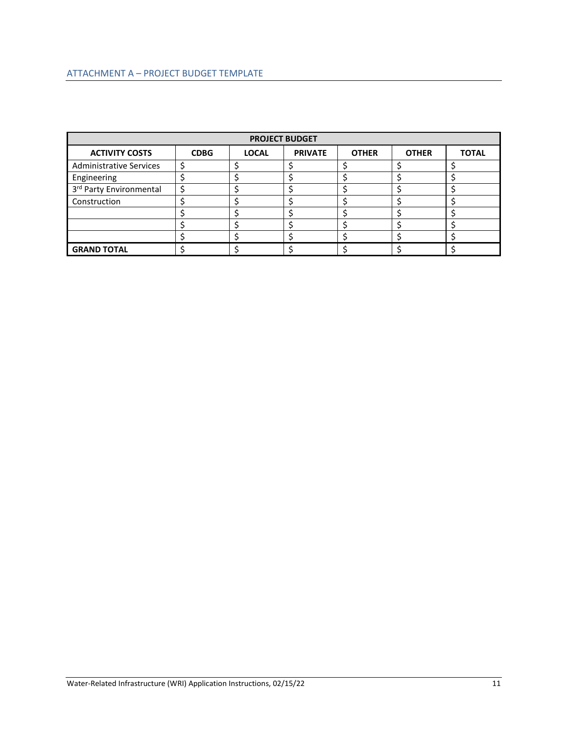| <b>PROJECT BUDGET</b>          |             |              |                |              |              |              |  |  |  |
|--------------------------------|-------------|--------------|----------------|--------------|--------------|--------------|--|--|--|
| <b>ACTIVITY COSTS</b>          | <b>CDBG</b> | <b>LOCAL</b> | <b>PRIVATE</b> | <b>OTHER</b> | <b>OTHER</b> | <b>TOTAL</b> |  |  |  |
| <b>Administrative Services</b> |             |              |                |              |              |              |  |  |  |
| Engineering                    |             |              |                |              |              |              |  |  |  |
| 3rd Party Environmental        |             |              |                |              |              |              |  |  |  |
| Construction                   |             |              |                |              |              |              |  |  |  |
|                                |             |              |                |              |              |              |  |  |  |
|                                |             |              |                |              |              |              |  |  |  |
|                                |             |              |                |              |              |              |  |  |  |
| <b>GRAND TOTAL</b>             |             |              |                |              |              |              |  |  |  |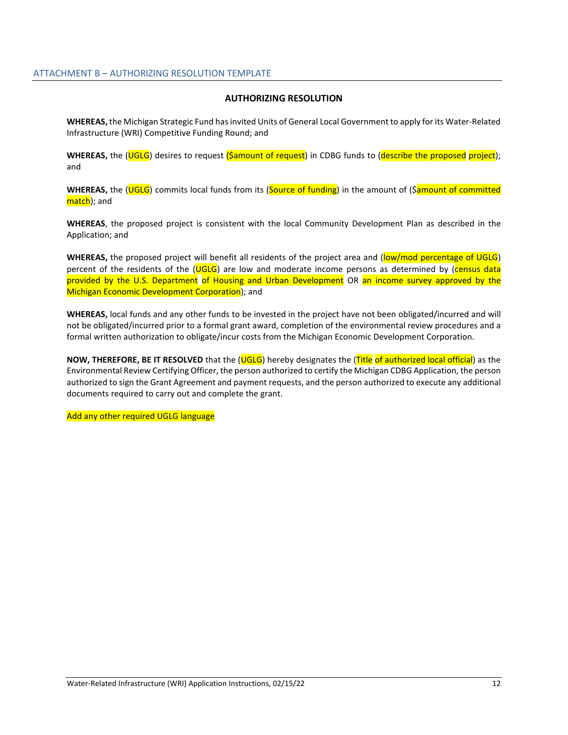#### **AUTHORIZING RESOLUTION**

**WHEREAS,** the Michigan Strategic Fund has invited Units of General Local Government to apply for its Water-Related Infrastructure (WRI) Competitive Funding Round; and

WHEREAS, the (UGLG) desires to request (Samount of request) in CDBG funds to (describe the proposed project); and

WHEREAS, the (UGLG) commits local funds from its (Source of funding) in the amount of (Samount of committed match); and

**WHEREAS**, the proposed project is consistent with the local Community Development Plan as described in the Application; and

**WHEREAS,** the proposed project will benefit all residents of the project area and (low/mod percentage of UGLG) percent of the residents of the (UGLG) are low and moderate income persons as determined by (census data provided by the U.S. Department of Housing and Urban Development OR an income survey approved by the Michigan Economic Development Corporation); and

**WHEREAS,** local funds and any other funds to be invested in the project have not been obligated/incurred and will not be obligated/incurred prior to a formal grant award, completion of the environmental review procedures and a formal written authorization to obligate/incur costs from the Michigan Economic Development Corporation.

**NOW, THEREFORE, BE IT RESOLVED** that the (UGLG) hereby designates the (Title of authorized local official) as the Environmental Review Certifying Officer, the person authorized to certify the Michigan CDBG Application, the person authorized to sign the Grant Agreement and payment requests, and the person authorized to execute any additional documents required to carry out and complete the grant.

Add any other required UGLG language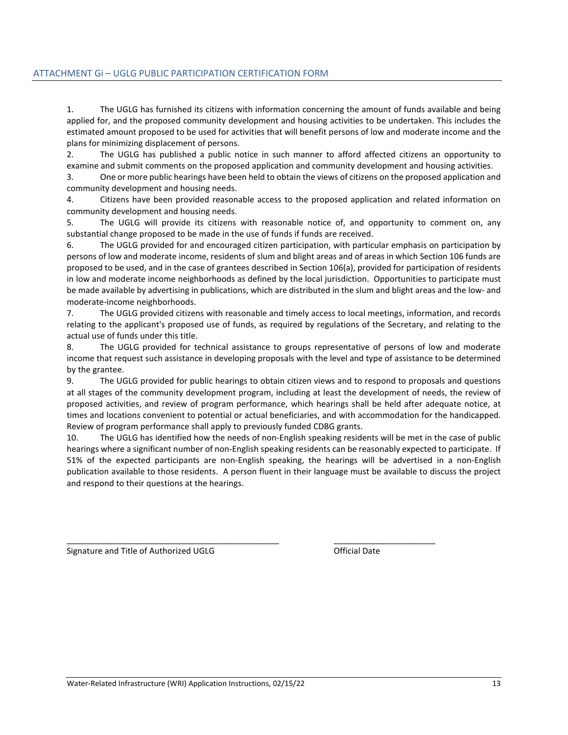## ATTACHMENT Gi – UGLG PUBLIC PARTICIPATION CERTIFICATION FORM

1. The UGLG has furnished its citizens with information concerning the amount of funds available and being applied for, and the proposed community development and housing activities to be undertaken. This includes the estimated amount proposed to be used for activities that will benefit persons of low and moderate income and the plans for minimizing displacement of persons.

2. The UGLG has published a public notice in such manner to afford affected citizens an opportunity to examine and submit comments on the proposed application and community development and housing activities.

3. One or more public hearings have been held to obtain the views of citizens on the proposed application and community development and housing needs.

4. Citizens have been provided reasonable access to the proposed application and related information on community development and housing needs.

5. The UGLG will provide its citizens with reasonable notice of, and opportunity to comment on, any substantial change proposed to be made in the use of funds if funds are received.

6. The UGLG provided for and encouraged citizen participation, with particular emphasis on participation by persons of low and moderate income, residents of slum and blight areas and of areas in which Section 106 funds are proposed to be used, and in the case of grantees described in Section 106(a), provided for participation of residents in low and moderate income neighborhoods as defined by the local jurisdiction. Opportunities to participate must be made available by advertising in publications, which are distributed in the slum and blight areas and the low- and moderate-income neighborhoods.

7. The UGLG provided citizens with reasonable and timely access to local meetings, information, and records relating to the applicant's proposed use of funds, as required by regulations of the Secretary, and relating to the actual use of funds under this title.

8. The UGLG provided for technical assistance to groups representative of persons of low and moderate income that request such assistance in developing proposals with the level and type of assistance to be determined by the grantee.

9. The UGLG provided for public hearings to obtain citizen views and to respond to proposals and questions at all stages of the community development program, including at least the development of needs, the review of proposed activities, and review of program performance, which hearings shall be held after adequate notice, at times and locations convenient to potential or actual beneficiaries, and with accommodation for the handicapped. Review of program performance shall apply to previously funded CDBG grants.

10. The UGLG has identified how the needs of non-English speaking residents will be met in the case of public hearings where a significant number of non-English speaking residents can be reasonably expected to participate. If 51% of the expected participants are non-English speaking, the hearings will be advertised in a non-English publication available to those residents. A person fluent in their language must be available to discuss the project and respond to their questions at the hearings.

\_\_\_\_\_\_\_\_\_\_\_\_\_\_\_\_\_\_\_\_\_\_\_\_\_\_\_\_\_\_\_\_\_\_\_\_\_\_\_\_\_\_\_\_\_\_ \_\_\_\_\_\_\_\_\_\_\_\_\_\_\_\_\_\_\_\_\_\_

Signature and Title of Authorized UGLG **Communist Constanting Construction** Official Date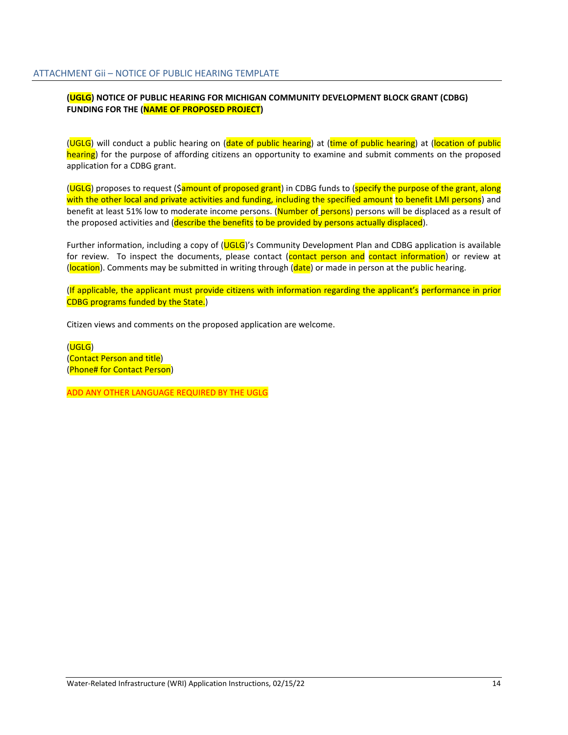## **(UGLG) NOTICE OF PUBLIC HEARING FOR MICHIGAN COMMUNITY DEVELOPMENT BLOCK GRANT (CDBG) FUNDING FOR THE (NAME OF PROPOSED PROJECT)**

(UGLG) will conduct a public hearing on (date of public hearing) at (time of public hearing) at (location of public hearing) for the purpose of affording citizens an opportunity to examine and submit comments on the proposed application for a CDBG grant.

(UGLG) proposes to request (\$amount of proposed grant) in CDBG funds to (specify the purpose of the grant, along with the other local and private activities and funding, including the specified amount to benefit LMI persons) and benefit at least 51% low to moderate income persons. (Number of persons) persons will be displaced as a result of the proposed activities and (describe the benefits to be provided by persons actually displaced).

Further information, including a copy of (UGLG)'s Community Development Plan and CDBG application is available for review. To inspect the documents, please contact (contact person and contact information) or review at (location). Comments may be submitted in writing through (date) or made in person at the public hearing.

(If applicable, the applicant must provide citizens with information regarding the applicant's performance in prior CDBG programs funded by the State.)

Citizen views and comments on the proposed application are welcome.

(UGLG) (Contact Person and title) (Phone# for Contact Person)

ADD ANY OTHER LANGUAGE REQUIRED BY THE UGLG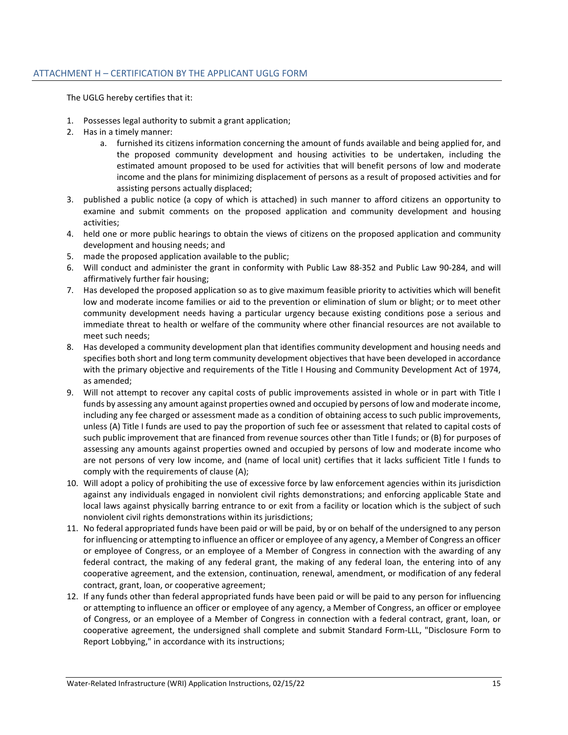The UGLG hereby certifies that it:

- 1. Possesses legal authority to submit a grant application;
- 2. Has in a timely manner:
	- a. furnished its citizens information concerning the amount of funds available and being applied for, and the proposed community development and housing activities to be undertaken, including the estimated amount proposed to be used for activities that will benefit persons of low and moderate income and the plans for minimizing displacement of persons as a result of proposed activities and for assisting persons actually displaced;
- 3. published a public notice (a copy of which is attached) in such manner to afford citizens an opportunity to examine and submit comments on the proposed application and community development and housing activities;
- 4. held one or more public hearings to obtain the views of citizens on the proposed application and community development and housing needs; and
- 5. made the proposed application available to the public;
- 6. Will conduct and administer the grant in conformity with Public Law 88-352 and Public Law 90-284, and will affirmatively further fair housing;
- 7. Has developed the proposed application so as to give maximum feasible priority to activities which will benefit low and moderate income families or aid to the prevention or elimination of slum or blight; or to meet other community development needs having a particular urgency because existing conditions pose a serious and immediate threat to health or welfare of the community where other financial resources are not available to meet such needs;
- 8. Has developed a community development plan that identifies community development and housing needs and specifies both short and long term community development objectives that have been developed in accordance with the primary objective and requirements of the Title I Housing and Community Development Act of 1974, as amended;
- 9. Will not attempt to recover any capital costs of public improvements assisted in whole or in part with Title I funds by assessing any amount against properties owned and occupied by persons of low and moderate income, including any fee charged or assessment made as a condition of obtaining access to such public improvements, unless (A) Title I funds are used to pay the proportion of such fee or assessment that related to capital costs of such public improvement that are financed from revenue sources other than Title I funds; or (B) for purposes of assessing any amounts against properties owned and occupied by persons of low and moderate income who are not persons of very low income, and (name of local unit) certifies that it lacks sufficient Title I funds to comply with the requirements of clause (A);
- 10. Will adopt a policy of prohibiting the use of excessive force by law enforcement agencies within its jurisdiction against any individuals engaged in nonviolent civil rights demonstrations; and enforcing applicable State and local laws against physically barring entrance to or exit from a facility or location which is the subject of such nonviolent civil rights demonstrations within its jurisdictions;
- 11. No federal appropriated funds have been paid or will be paid, by or on behalf of the undersigned to any person for influencing or attempting to influence an officer or employee of any agency, a Member of Congress an officer or employee of Congress, or an employee of a Member of Congress in connection with the awarding of any federal contract, the making of any federal grant, the making of any federal loan, the entering into of any cooperative agreement, and the extension, continuation, renewal, amendment, or modification of any federal contract, grant, loan, or cooperative agreement;
- 12. If any funds other than federal appropriated funds have been paid or will be paid to any person for influencing or attempting to influence an officer or employee of any agency, a Member of Congress, an officer or employee of Congress, or an employee of a Member of Congress in connection with a federal contract, grant, loan, or cooperative agreement, the undersigned shall complete and submit Standard Form-LLL, "Disclosure Form to Report Lobbying," in accordance with its instructions;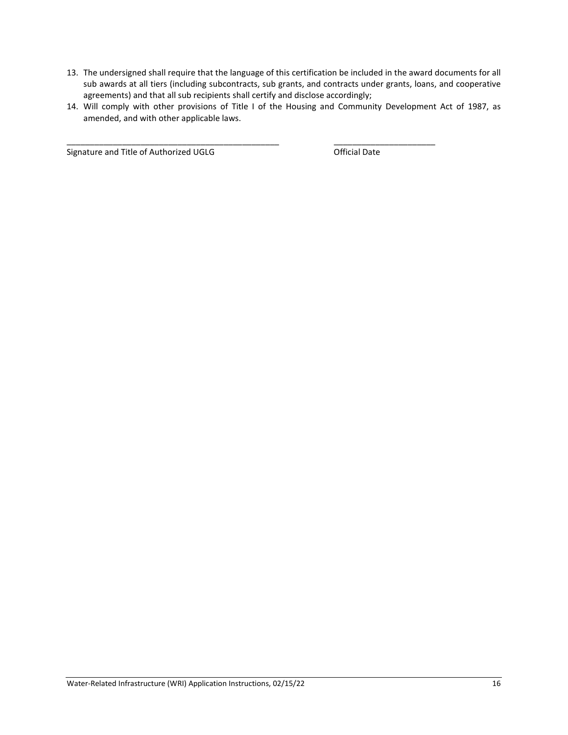- 13. The undersigned shall require that the language of this certification be included in the award documents for all sub awards at all tiers (including subcontracts, sub grants, and contracts under grants, loans, and cooperative agreements) and that all sub recipients shall certify and disclose accordingly;
- 14. Will comply with other provisions of Title I of the Housing and Community Development Act of 1987, as amended, and with other applicable laws.

\_\_\_\_\_\_\_\_\_\_\_\_\_\_\_\_\_\_\_\_\_\_\_\_\_\_\_\_\_\_\_\_\_\_\_\_\_\_\_\_\_\_\_\_\_\_ \_\_\_\_\_\_\_\_\_\_\_\_\_\_\_\_\_\_\_\_\_\_

Signature and Title of Authorized UGLG **Canadian Contract Contract Contract** Official Date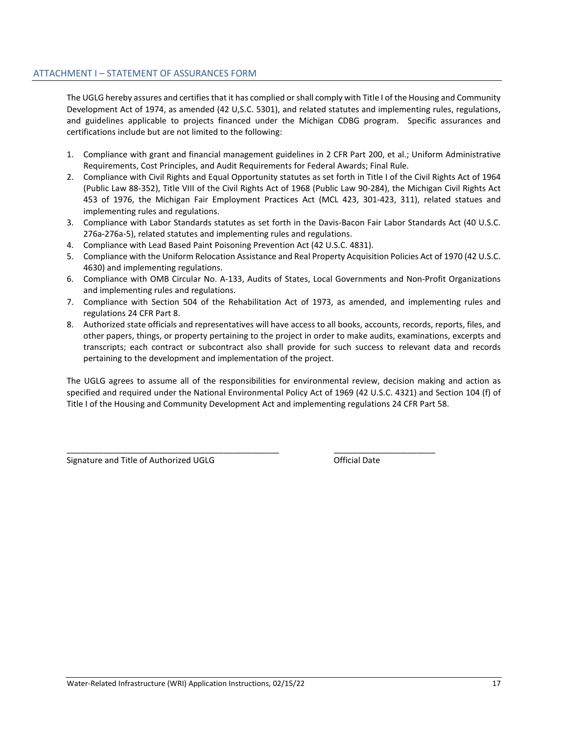The UGLG hereby assures and certifies that it has complied or shall comply with Title I of the Housing and Community Development Act of 1974, as amended (42 U,S.C. 5301), and related statutes and implementing rules, regulations, and guidelines applicable to projects financed under the Michigan CDBG program. Specific assurances and certifications include but are not limited to the following:

- 1. Compliance with grant and financial management guidelines in 2 CFR Part 200, et al.; Uniform Administrative Requirements, Cost Principles, and Audit Requirements for Federal Awards; Final Rule.
- 2. Compliance with Civil Rights and Equal Opportunity statutes as set forth in Title I of the Civil Rights Act of 1964 (Public Law 88-352), Title VIII of the Civil Rights Act of 1968 (Public Law 90-284), the Michigan Civil Rights Act 453 of 1976, the Michigan Fair Employment Practices Act (MCL 423, 301-423, 311), related statues and implementing rules and regulations.
- 3. Compliance with Labor Standards statutes as set forth in the Davis-Bacon Fair Labor Standards Act (40 U.S.C. 276a-276a-5), related statutes and implementing rules and regulations.
- 4. Compliance with Lead Based Paint Poisoning Prevention Act (42 U.S.C. 4831).
- 5. Compliance with the Uniform Relocation Assistance and Real Property Acquisition Policies Act of 1970 (42 U.S.C. 4630) and implementing regulations.
- 6. Compliance with OMB Circular No. A-133, Audits of States, Local Governments and Non-Profit Organizations and implementing rules and regulations.
- 7. Compliance with Section 504 of the Rehabilitation Act of 1973, as amended, and implementing rules and regulations 24 CFR Part 8.
- 8. Authorized state officials and representatives will have access to all books, accounts, records, reports, files, and other papers, things, or property pertaining to the project in order to make audits, examinations, excerpts and transcripts; each contract or subcontract also shall provide for such success to relevant data and records pertaining to the development and implementation of the project.

The UGLG agrees to assume all of the responsibilities for environmental review, decision making and action as specified and required under the National Environmental Policy Act of 1969 (42 U.S.C. 4321) and Section 104 (f) of Title I of the Housing and Community Development Act and implementing regulations 24 CFR Part 58.

\_\_\_\_\_\_\_\_\_\_\_\_\_\_\_\_\_\_\_\_\_\_\_\_\_\_\_\_\_\_\_\_\_\_\_\_\_\_\_\_\_\_\_\_\_\_ \_\_\_\_\_\_\_\_\_\_\_\_\_\_\_\_\_\_\_\_\_\_

Signature and Title of Authorized UGLG **Contained Authorized UGLG Contained Authorized UGLG**